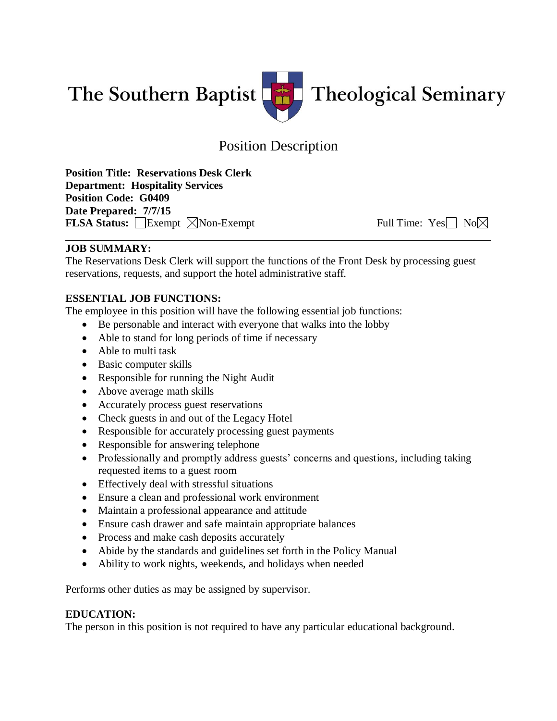

# Position Description

**Position Title: Reservations Desk Clerk Department: Hospitality Services Position Code: G0409 Date Prepared: 7/7/15 FLSA Status:** Exempt  $\boxtimes$  Non-Exempt Full Time: Yes No $\boxtimes$ 

# **JOB SUMMARY:**

The Reservations Desk Clerk will support the functions of the Front Desk by processing guest reservations, requests, and support the hotel administrative staff.

# **ESSENTIAL JOB FUNCTIONS:**

The employee in this position will have the following essential job functions:

- Be personable and interact with everyone that walks into the lobby
- Able to stand for long periods of time if necessary
- Able to multi task
- Basic computer skills
- Responsible for running the Night Audit
- Above average math skills
- Accurately process guest reservations
- Check guests in and out of the Legacy Hotel
- Responsible for accurately processing guest payments
- Responsible for answering telephone
- Professionally and promptly address guests' concerns and questions, including taking requested items to a guest room
- Effectively deal with stressful situations
- Ensure a clean and professional work environment
- Maintain a professional appearance and attitude
- Ensure cash drawer and safe maintain appropriate balances
- Process and make cash deposits accurately
- Abide by the standards and guidelines set forth in the Policy Manual
- Ability to work nights, weekends, and holidays when needed

Performs other duties as may be assigned by supervisor.

## **EDUCATION:**

The person in this position is not required to have any particular educational background.